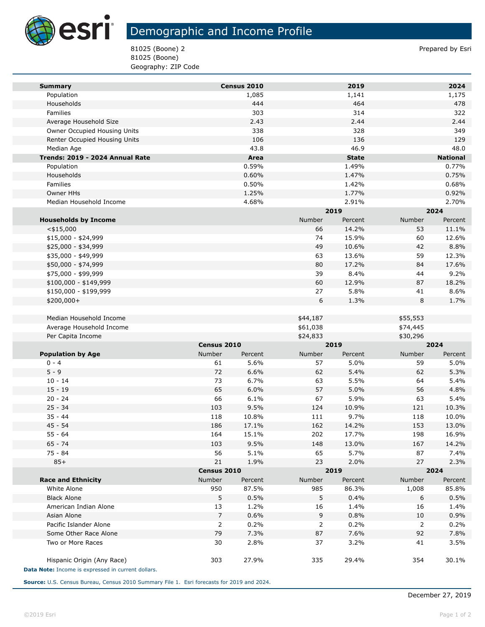

**Tara** 

## Demographic and Income Profile

81025 (Boone) 2 Prepared by Esri 81025 (Boone) Geography: ZIP Code

| <b>Summary</b>                                                                   |               | Census 2010 |          | 2019         |          | 2024            |
|----------------------------------------------------------------------------------|---------------|-------------|----------|--------------|----------|-----------------|
| Population                                                                       |               | 1,085       |          | 1,141        |          | 1,175           |
| Households                                                                       |               | 444         |          | 464          |          | 478             |
| Families                                                                         |               | 303         |          | 314          |          | 322             |
| Average Household Size                                                           |               | 2.43        |          | 2.44         |          | 2.44            |
| Owner Occupied Housing Units                                                     |               | 338         |          | 328          |          | 349             |
| Renter Occupied Housing Units                                                    |               | 106         |          | 136          |          | 129             |
| Median Age                                                                       |               | 43.8        |          | 46.9         |          | 48.0            |
| Trends: 2019 - 2024 Annual Rate                                                  |               | Area        |          | <b>State</b> |          | <b>National</b> |
| Population                                                                       |               | 0.59%       |          | 1.49%        |          | 0.77%           |
| Households                                                                       |               | 0.60%       |          | 1.47%        |          | 0.75%           |
| Families                                                                         |               | 0.50%       |          | 1.42%        |          | 0.68%           |
| Owner HHs                                                                        |               | 1.25%       |          | 1.77%        |          | 0.92%           |
| Median Household Income                                                          |               | 4.68%       |          | 2.91%        |          | 2.70%           |
|                                                                                  |               |             | 2019     |              | 2024     |                 |
| <b>Households by Income</b>                                                      |               |             | Number   | Percent      | Number   | Percent         |
| $<$ \$15,000                                                                     |               |             | 66       | 14.2%        | 53       | 11.1%           |
| \$15,000 - \$24,999                                                              |               |             | 74       | 15.9%        | 60       | 12.6%           |
| \$25,000 - \$34,999                                                              |               |             | 49       | 10.6%        | 42       | 8.8%            |
| \$35,000 - \$49,999                                                              |               |             | 63       | 13.6%        | 59       | 12.3%           |
| \$50,000 - \$74,999                                                              |               |             | 80       | 17.2%        | 84       | 17.6%           |
| \$75,000 - \$99,999                                                              |               |             | 39       | 8.4%         | 44       | 9.2%            |
| \$100,000 - \$149,999                                                            |               |             | 60       | 12.9%        | 87       | 18.2%           |
| \$150,000 - \$199,999                                                            |               |             | 27       | 5.8%         | 41       | 8.6%            |
| \$200,000+                                                                       |               |             | 6        | 1.3%         | 8        | 1.7%            |
|                                                                                  |               |             |          |              |          |                 |
| Median Household Income                                                          |               |             | \$44,187 |              | \$55,553 |                 |
| Average Household Income                                                         |               |             | \$61,038 |              | \$74,445 |                 |
| Per Capita Income                                                                |               |             | \$24,833 |              | \$30,296 |                 |
|                                                                                  | Census 2010   |             | 2019     |              | 2024     |                 |
| <b>Population by Age</b>                                                         | <b>Number</b> | Percent     | Number   | Percent      | Number   | Percent         |
| $0 - 4$                                                                          | 61            | 5.6%        | 57       | 5.0%         | 59       | 5.0%            |
| $5 - 9$                                                                          | 72            | 6.6%        | 62       | 5.4%         | 62       | 5.3%            |
| $10 - 14$                                                                        | 73            | 6.7%        | 63       | 5.5%         | 64       | 5.4%            |
| $15 - 19$                                                                        | 65            | 6.0%        | 57       | 5.0%         | 56       | 4.8%            |
| $20 - 24$                                                                        | 66            | 6.1%        | 67       | 5.9%         | 63       | 5.4%            |
| $25 - 34$                                                                        | 103           | 9.5%        | 124      | 10.9%        | 121      | 10.3%           |
| $35 - 44$                                                                        | 118           | 10.8%       | 111      | 9.7%         | 118      | 10.0%           |
| $45 - 54$                                                                        | 186           | 17.1%       | 162      | 14.2%        | 153      | 13.0%           |
| $55 - 64$                                                                        | 164           | 15.1%       | 202      | 17.7%        | 198      | 16.9%           |
| $65 - 74$                                                                        | 103           | 9.5%        | 148      | 13.0%        | 167      | 14.2%           |
| $75 - 84$                                                                        | 56            | 5.1%        | 65       | 5.7%         | 87       | 7.4%            |
| $85+$                                                                            | 21            | 1.9%        | 23       | 2.0%         | 27       | 2.3%            |
|                                                                                  |               | Census 2010 |          | 2019         | 2024     |                 |
| <b>Race and Ethnicity</b>                                                        | Number        | Percent     | Number   | Percent      | Number   | Percent         |
| White Alone                                                                      | 950           | 87.5%       | 985      | 86.3%        | 1,008    | 85.8%           |
| <b>Black Alone</b>                                                               | 5             | 0.5%        | 5        | 0.4%         | 6        | 0.5%            |
| American Indian Alone                                                            | 13            | 1.2%        | 16       | 1.4%         | 16       | 1.4%            |
| Asian Alone                                                                      | 7             | 0.6%        | 9        | 0.8%         | 10       | 0.9%            |
| Pacific Islander Alone                                                           | 2             | 0.2%        | 2        | 0.2%         | 2        | 0.2%            |
| Some Other Race Alone                                                            | 79            | 7.3%        | 87       | 7.6%         | 92       | 7.8%            |
| Two or More Races                                                                | 30            | 2.8%        | 37       | 3.2%         | 41       | 3.5%            |
| Hispanic Origin (Any Race)<br>Data Note: Income is expressed in current dollars. | 303           | 27.9%       | 335      | 29.4%        | 354      | 30.1%           |
|                                                                                  |               |             |          |              |          |                 |

**Source:** U.S. Census Bureau, Census 2010 Summary File 1. Esri forecasts for 2019 and 2024.